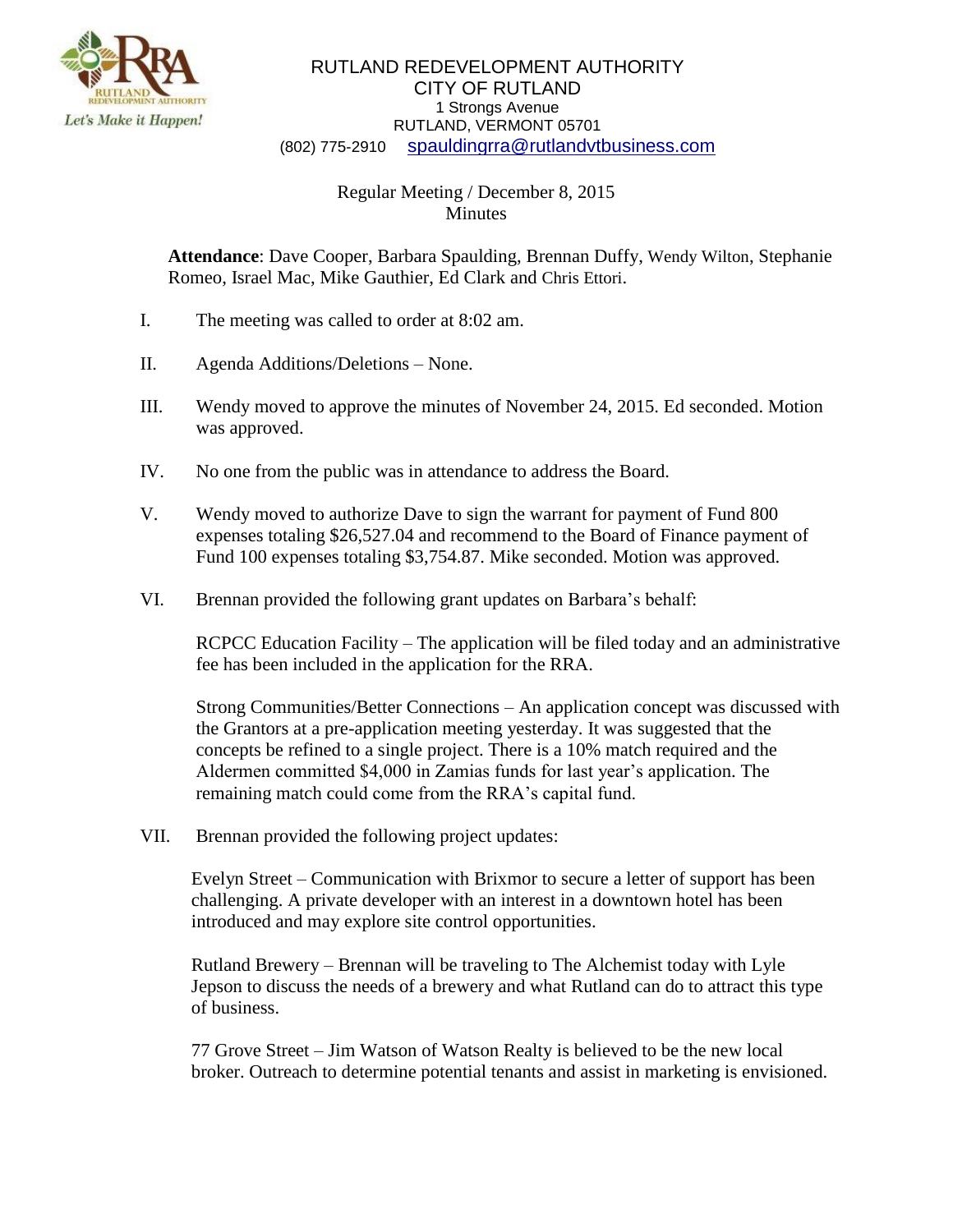

## RUTLAND REDEVELOPMENT AUTHORITY CITY OF RUTLAND 1 Strongs Avenue RUTLAND, VERMONT 05701 (802) 775-2910 [spauldingrra@rutlandvtbusiness.com](mailto:allenrra@rutlandvtbusiness.com)

## Regular Meeting / December 8, 2015 **Minutes**

**Attendance**: Dave Cooper, Barbara Spaulding, Brennan Duffy, Wendy Wilton, Stephanie Romeo, Israel Mac, Mike Gauthier, Ed Clark and Chris Ettori.

- I. The meeting was called to order at 8:02 am.
- II. Agenda Additions/Deletions None.
- III. Wendy moved to approve the minutes of November 24, 2015. Ed seconded. Motion was approved.
- IV. No one from the public was in attendance to address the Board.
- V. Wendy moved to authorize Dave to sign the warrant for payment of Fund 800 expenses totaling \$26,527.04 and recommend to the Board of Finance payment of Fund 100 expenses totaling \$3,754.87. Mike seconded. Motion was approved.
- VI. Brennan provided the following grant updates on Barbara's behalf:

RCPCC Education Facility – The application will be filed today and an administrative fee has been included in the application for the RRA.

Strong Communities/Better Connections – An application concept was discussed with the Grantors at a pre-application meeting yesterday. It was suggested that the concepts be refined to a single project. There is a 10% match required and the Aldermen committed \$4,000 in Zamias funds for last year's application. The remaining match could come from the RRA's capital fund.

VII. Brennan provided the following project updates:

Evelyn Street – Communication with Brixmor to secure a letter of support has been challenging. A private developer with an interest in a downtown hotel has been introduced and may explore site control opportunities.

Rutland Brewery – Brennan will be traveling to The Alchemist today with Lyle Jepson to discuss the needs of a brewery and what Rutland can do to attract this type of business.

77 Grove Street – Jim Watson of Watson Realty is believed to be the new local broker. Outreach to determine potential tenants and assist in marketing is envisioned.